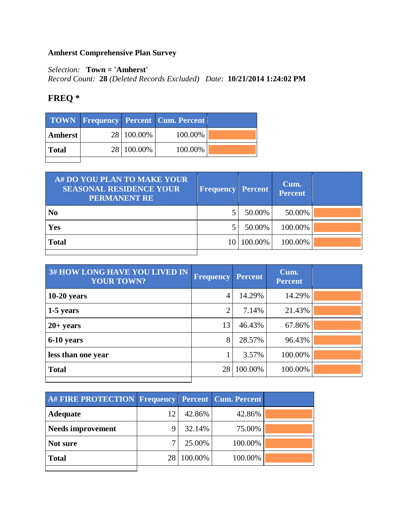## **Amherst Comprehensive Plan Survey**

*Selection:* **Town = 'Amherst'**

*Record Count:* **28** *(Deleted Records Excluded) Date:* **10/21/2014 1:24:02 PM**

## **FREQ \***

|         |            | <b>TOWN Frequency Percent Cum. Percent</b> |  |
|---------|------------|--------------------------------------------|--|
| Amherst | 28 100.00% | 100.00%                                    |  |
| Total   | 28 100.00% | 100.00%                                    |  |
|         |            |                                            |  |

|        | Cum.<br><b>Percent</b>                 |  |
|--------|----------------------------------------|--|
| 50.00% | 50.00%                                 |  |
| 50.00% | 100.00%                                |  |
|        | 100.00%                                |  |
|        | <b>Frequency Percent</b><br>10 100.00% |  |

| 3# HOW LONG HAVE YOU LIVED IN<br><b>YOUR TOWN?</b> | <b>Frequency</b> | <b>Percent</b> | Cum.<br><b>Percent</b> |  |
|----------------------------------------------------|------------------|----------------|------------------------|--|
| $10-20$ years                                      | $\overline{4}$   | 14.29%         | 14.29%                 |  |
| 1-5 years                                          | 2                | 7.14%          | 21.43%                 |  |
| $20+ years$                                        | 13               | 46.43%         | 67.86%                 |  |
| 6-10 years                                         | 8                | 28.57%         | 96.43%                 |  |
| less than one year                                 |                  | 3.57%          | 100.00%                |  |
| <b>Total</b>                                       | 28               | 100.00%        | 100.00%                |  |
|                                                    |                  |                |                        |  |

| A# FIRE PROTECTION Frequency Percent Cum. Percent |    |         |         |  |
|---------------------------------------------------|----|---------|---------|--|
| <b>Adequate</b>                                   | 12 | 42.86%  | 42.86%  |  |
| <b>Needs improvement</b>                          |    | 32.14%  | 75.00%  |  |
| Not sure                                          |    | 25.00%  | 100.00% |  |
| <b>Total</b>                                      |    | 100.00% | 100.00% |  |
|                                                   |    |         |         |  |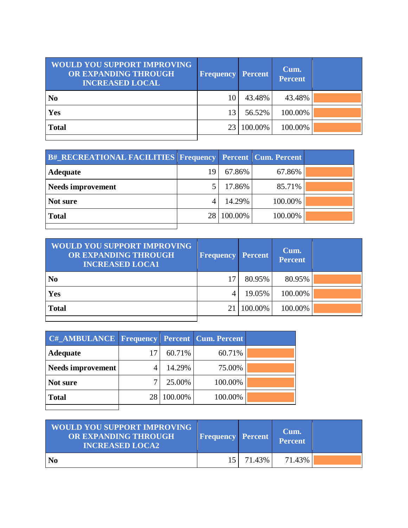| <b>WOULD YOU SUPPORT IMPROVING</b><br>OR EXPANDING THROUGH<br><b>INCREASED LOCAL</b> | <b>Frequency Percent</b> |            | Cum.<br><b>Percent</b> |  |
|--------------------------------------------------------------------------------------|--------------------------|------------|------------------------|--|
| N <sub>0</sub>                                                                       | 10                       | 43.48%     | 43.48%                 |  |
| Yes                                                                                  | 13                       | 56.52%     | 100.00%                |  |
| <b>Total</b>                                                                         |                          | 23 100.00% | 100.00%                |  |
|                                                                                      |                          |            |                        |  |

| <b>B#_RECREATIONAL FACILITIES Frequency Percent Cum. Percent</b> |    |            |         |  |
|------------------------------------------------------------------|----|------------|---------|--|
| <b>Adequate</b>                                                  | 19 | 67.86%     | 67.86%  |  |
| <b>Needs improvement</b>                                         |    | 17.86%     | 85.71%  |  |
| Not sure                                                         |    | 14.29%     | 100.00% |  |
| <b>Total</b>                                                     |    | 28 100.00% | 100.00% |  |
|                                                                  |    |            |         |  |

| <b>WOULD YOU SUPPORT IMPROVING</b><br>OR EXPANDING THROUGH<br><b>INCREASED LOCA1</b> | <b>Frequency Percent</b> |              | Cum.<br><b>Percent</b> |  |
|--------------------------------------------------------------------------------------|--------------------------|--------------|------------------------|--|
| N <sub>0</sub>                                                                       |                          | 80.95%       | 80.95%                 |  |
| Yes                                                                                  | 4                        | 19.05%       | 100.00%                |  |
| <b>Total</b>                                                                         |                          | 21   100.00% | 100.00%                |  |
|                                                                                      |                          |              |                        |  |

| <b>C#_AMBULANCE   Frequency   Percent   Cum. Percent</b> |    |            |         |  |
|----------------------------------------------------------|----|------------|---------|--|
| <b>Adequate</b>                                          | 17 | 60.71%     | 60.71%  |  |
| Needs improvement                                        |    | 14.29%     | 75.00%  |  |
| Not sure                                                 |    | 25.00%     | 100.00% |  |
| <b>Total</b>                                             |    | 28 100.00% | 100.00% |  |

| <b>WOULD YOU SUPPORT IMPROVING</b><br>OR EXPANDING THROUGH<br><b>INCREASED LOCA2</b> | <b>Frequency Percent</b> |        | Cum.<br><b>Percent</b> |  |
|--------------------------------------------------------------------------------------|--------------------------|--------|------------------------|--|
| No.                                                                                  | 15 I                     | 71.43% | 71.43%                 |  |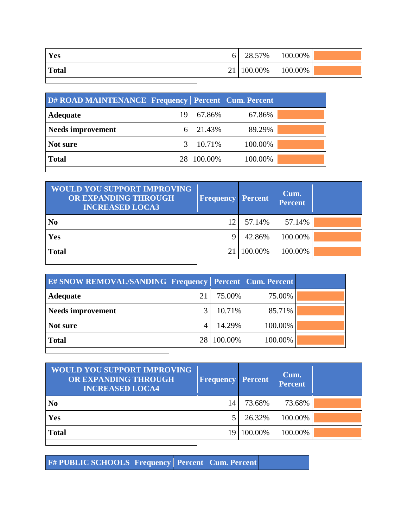| Yes          | 6 |              | 28.57%   100.00% |  |
|--------------|---|--------------|------------------|--|
| <b>Total</b> |   | 21   100.00% | 100.00%          |  |
|              |   |              |                  |  |

| D# ROAD MAINTENANCE   Frequency   Percent   Cum. Percent |    |         |         |  |
|----------------------------------------------------------|----|---------|---------|--|
| <b>Adequate</b>                                          | 19 | 67.86%  | 67.86%  |  |
| <b>Needs improvement</b>                                 |    | 21.43%  | 89.29%  |  |
| Not sure                                                 | 2  | 10.71%  | 100.00% |  |
| <b>Total</b>                                             |    | 100.00% | 100.00% |  |
|                                                          |    |         |         |  |

| <b>WOULD YOU SUPPORT IMPROVING</b><br>OR EXPANDING THROUGH<br><b>INCREASED LOCA3</b> | <b>Frequency</b> | <b>Percent</b> | Cum.<br><b>Percent</b> |  |
|--------------------------------------------------------------------------------------|------------------|----------------|------------------------|--|
| N <sub>0</sub>                                                                       | 12               | 57.14%         | 57.14%                 |  |
| <b>Yes</b>                                                                           | Q                | 42.86%         | 100.00%                |  |
| <b>Total</b>                                                                         | 21               | 100.00%        | 100.00%                |  |
|                                                                                      |                  |                |                        |  |

| <b>E# SNOW REMOVAL/SANDING Frequency Percent Cum. Percent</b> |    |         |         |  |
|---------------------------------------------------------------|----|---------|---------|--|
| <b>Adequate</b>                                               |    | 75.00%  | 75.00%  |  |
| <b>Needs improvement</b>                                      |    | 10.71%  | 85.71%  |  |
| Not sure                                                      |    | 14.29%  | 100.00% |  |
| <b>Total</b>                                                  | 28 | 100.00% | 100.00% |  |
|                                                               |    |         |         |  |

| <b>WOULD YOU SUPPORT IMPROVING</b><br>OR EXPANDING THROUGH<br><b>INCREASED LOCA4</b> | <b>Frequency</b> | <b>Percent</b> | Cum.<br><b>Percent</b> |  |
|--------------------------------------------------------------------------------------|------------------|----------------|------------------------|--|
| N <sub>0</sub>                                                                       | 14               | 73.68%         | 73.68%                 |  |
| Yes                                                                                  |                  | 26.32%         | 100.00%                |  |
| <b>Total</b>                                                                         | 19               | 100.00%        | 100.00%                |  |

**F# PUBLIC SCHOOLS Frequency Percent Cum. Percent**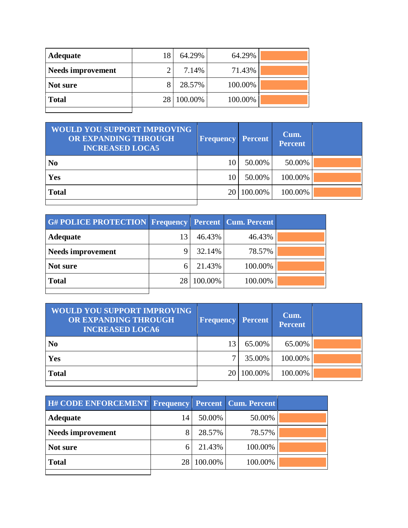| <b>Adequate</b>          | 18 | 64.29%     | 64.29%  |  |
|--------------------------|----|------------|---------|--|
| <b>Needs improvement</b> |    | 7.14%      | 71.43%  |  |
| Not sure                 |    | 28.57%     | 100.00% |  |
| <b>Total</b>             |    | 28 100.00% | 100.00% |  |
|                          |    |            |         |  |

| <b>WOULD YOU SUPPORT IMPROVING</b><br>OR EXPANDING THROUGH<br><b>INCREASED LOCA5</b> | <b>Frequency Percent</b> |              | Cum.<br><b>Percent</b> |  |
|--------------------------------------------------------------------------------------|--------------------------|--------------|------------------------|--|
| N <sub>0</sub>                                                                       | 10                       | 50.00%       | 50.00%                 |  |
| <b>Yes</b>                                                                           | 10                       | 50.00%       | 100.00%                |  |
| <b>Total</b>                                                                         |                          | 20   100.00% | 100.00%                |  |

| <b>G#POLICE PROTECTION Frequency Percent Cum. Percent</b> |    |         |         |  |
|-----------------------------------------------------------|----|---------|---------|--|
| <b>Adequate</b>                                           |    | 46.43%  | 46.43%  |  |
| <b>Needs improvement</b>                                  |    | 32.14%  | 78.57%  |  |
| Not sure                                                  |    | 21.43%  | 100.00% |  |
| <b>Total</b>                                              | 28 | 100.00% | 100.00% |  |
|                                                           |    |         |         |  |

| <b>WOULD YOU SUPPORT IMPROVING</b><br>OR EXPANDING THROUGH<br><b>INCREASED LOCA6</b> | <b>Frequency Percent</b> |            | Cum.<br><b>Percent</b> |  |
|--------------------------------------------------------------------------------------|--------------------------|------------|------------------------|--|
| N <sub>0</sub>                                                                       | 13                       | 65.00%     | 65.00%                 |  |
| Yes                                                                                  | 7                        | 35.00%     | 100.00%                |  |
| <b>Total</b>                                                                         |                          | 20 100.00% | 100.00%                |  |

| H# CODE ENFORCEMENT Frequency Percent Cum. Percent |    |         |         |  |
|----------------------------------------------------|----|---------|---------|--|
| <b>Adequate</b>                                    | 14 | 50.00%  | 50.00%  |  |
| <b>Needs improvement</b>                           |    | 28.57%  | 78.57%  |  |
| Not sure                                           |    | 21.43%  | 100.00% |  |
| <b>Total</b>                                       |    | 100.00% | 100.00% |  |
|                                                    |    |         |         |  |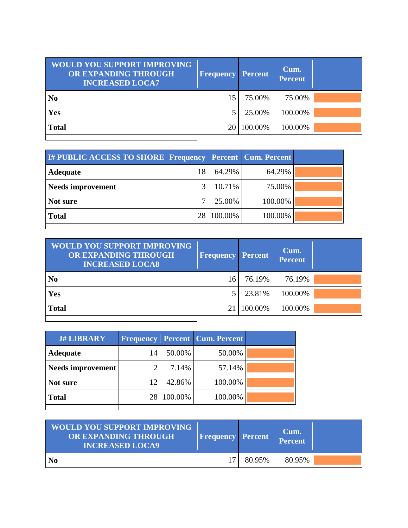| <b>WOULD YOU SUPPORT IMPROVING</b><br>OR EXPANDING THROUGH<br><b>INCREASED LOCA7</b> | <b>Frequency Percent</b> |              | Cum.<br><b>Percent</b> |  |
|--------------------------------------------------------------------------------------|--------------------------|--------------|------------------------|--|
| N <sub>0</sub>                                                                       | 15 <sub>l</sub>          | 75.00%       | 75.00%                 |  |
| Yes                                                                                  |                          | 25.00%       | 100.00%                |  |
| <b>Total</b>                                                                         |                          | 20   100.00% | 100.00%                |  |
|                                                                                      |                          |              |                        |  |

| I# PUBLIC ACCESS TO SHORE Frequency Percent Cum. Percent |         |         |  |
|----------------------------------------------------------|---------|---------|--|
| <b>Adequate</b>                                          | 64.29%  | 64.29%  |  |
| <b>Needs improvement</b>                                 | 10.71%  | 75.00%  |  |
| Not sure                                                 | 25.00%  | 100.00% |  |
| <b>Total</b>                                             | 100.00% | 100.00% |  |
|                                                          |         |         |  |

| <b>WOULD YOU SUPPORT IMPROVING</b><br><b>OR EXPANDING THROUGH</b><br><b>INCREASED LOCA8</b> | <b>Frequency</b> | <b>Percent</b> | Cum.<br><b>Percent</b> |  |
|---------------------------------------------------------------------------------------------|------------------|----------------|------------------------|--|
| N <sub>0</sub>                                                                              | 16               | 76.19%         | 76.19%                 |  |
| <b>Yes</b>                                                                                  |                  | 23.81%         | 100.00%                |  |
| <b>Total</b>                                                                                |                  | 100.00%        | 100.00%                |  |
|                                                                                             |                  |                |                        |  |

| <b>J# LIBRARY</b>        |                 |         | <b>Frequency Percent Cum. Percent</b> |  |
|--------------------------|-----------------|---------|---------------------------------------|--|
| <b>Adequate</b>          | 14              | 50.00%  | 50.00%                                |  |
| <b>Needs improvement</b> |                 | 7.14%   | 57.14%                                |  |
| Not sure                 | 12              | 42.86%  | 100.00%                               |  |
| <b>Total</b>             | 28 <sub>1</sub> | 100.00% | 100.00%                               |  |

| <b>WOULD YOU SUPPORT IMPROVING</b><br>OR EXPANDING THROUGH<br><b>INCREASED LOCA9</b> | <b>Frequency Percent</b> |        | Cum.<br><b>Percent</b> |  |
|--------------------------------------------------------------------------------------|--------------------------|--------|------------------------|--|
| - No                                                                                 |                          | 80.95% | 80.95%                 |  |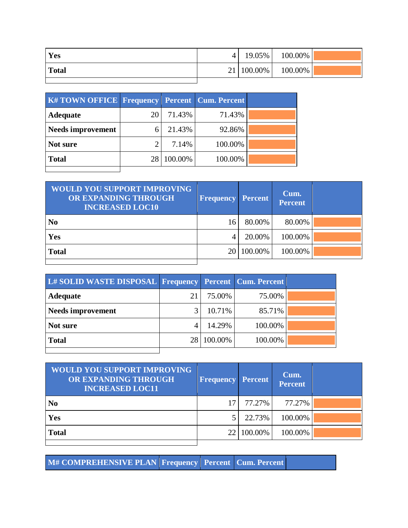| Yes          | 4 | $19.05\%$    | 100.00% |  |
|--------------|---|--------------|---------|--|
| <b>Total</b> |   | 21   100.00% | 100.00% |  |
|              |   |              |         |  |

| <b>K#TOWN OFFICE Frequency Percent Cum. Percent</b> |    |         |         |  |
|-----------------------------------------------------|----|---------|---------|--|
| <b>Adequate</b>                                     | 20 | 71.43%  | 71.43%  |  |
| <b>Needs improvement</b>                            |    | 21.43%  | 92.86%  |  |
| Not sure                                            |    | 7.14%   | 100.00% |  |
| <b>Total</b>                                        | 28 | 100.00% | 100.00% |  |
|                                                     |    |         |         |  |

| <b>WOULD YOU SUPPORT IMPROVING</b><br>OR EXPANDING THROUGH<br><b>INCREASED LOC10</b> | <b>Frequency</b> | <b>Percent</b> | Cum.<br><b>Percent</b> |  |
|--------------------------------------------------------------------------------------|------------------|----------------|------------------------|--|
| N <sub>0</sub>                                                                       | 16               | 80.00%         | 80.00%                 |  |
| Yes                                                                                  | 4                | 20.00%         | 100.00%                |  |
| <b>Total</b>                                                                         | 20               | 100.00%        | 100.00%                |  |
|                                                                                      |                  |                |                        |  |

| L# SOLID WASTE DISPOSAL Frequency Percent Cum. Percent |    |         |         |  |
|--------------------------------------------------------|----|---------|---------|--|
| Adequate                                               | 21 | 75.00%  | 75.00%  |  |
| <b>Needs improvement</b>                               |    | 10.71%  | 85.71%  |  |
| Not sure                                               |    | 14.29%  | 100.00% |  |
| <b>Total</b>                                           | 28 | 100.00% | 100.00% |  |
|                                                        |    |         |         |  |

| <b>WOULD YOU SUPPORT IMPROVING</b><br>OR EXPANDING THROUGH<br><b>INCREASED LOC11</b> | <b>Frequency</b> | <b>Percent</b> | Cum.<br><b>Percent</b> |  |
|--------------------------------------------------------------------------------------|------------------|----------------|------------------------|--|
| N <sub>0</sub>                                                                       |                  | 77.27%         | 77.27%                 |  |
| Yes                                                                                  |                  | 22.73%         | 100.00%                |  |
| <b>Total</b>                                                                         |                  | 22 100.00%     | 100.00%                |  |

**M# COMPREHENSIVE PLAN Frequency Percent Cum. Percent**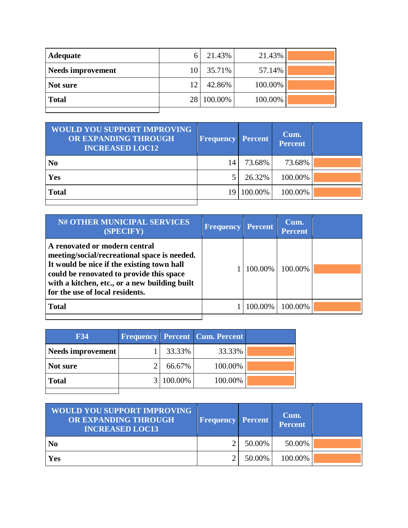| Adequate                 |    | 21.43%     | 21.43%  |  |
|--------------------------|----|------------|---------|--|
| <b>Needs improvement</b> | 10 | 35.71%     | 57.14%  |  |
| Not sure                 | 12 | 42.86%     | 100.00% |  |
| <b>Total</b>             |    | 28 100.00% | 100.00% |  |
|                          |    |            |         |  |

| <b>WOULD YOU SUPPORT IMPROVING</b><br>OR EXPANDING THROUGH<br><b>INCREASED LOC12</b> | <b>Frequency Percent</b> |            | Cum.<br><b>Percent</b> |  |
|--------------------------------------------------------------------------------------|--------------------------|------------|------------------------|--|
| N <sub>0</sub>                                                                       | 14                       | 73.68%     | 73.68%                 |  |
| Yes                                                                                  |                          | 26.32%     | 100.00%                |  |
| <b>Total</b>                                                                         |                          | 19 100.00% | 100.00%                |  |
|                                                                                      |                          |            |                        |  |

| <b>N# OTHER MUNICIPAL SERVICES</b><br>(SPECIFY)                                                                                                                                                                                                             | <b>Frequency</b> | <b>Percent</b> | Cum.<br><b>Percent</b> |  |
|-------------------------------------------------------------------------------------------------------------------------------------------------------------------------------------------------------------------------------------------------------------|------------------|----------------|------------------------|--|
| A renovated or modern central<br>meeting/social/recreational space is needed.<br>It would be nice if the existing town hall<br>could be renovated to provide this space<br>with a kitchen, etc., or a new building built<br>for the use of local residents. |                  | 100.00%        | 100.00%                |  |
| <b>Total</b>                                                                                                                                                                                                                                                |                  | 100.00%        | 100.00%                |  |
|                                                                                                                                                                                                                                                             |                  |                |                        |  |

| <b>F34</b>        |           | <b>Frequency Percent Cum. Percent</b> |  |
|-------------------|-----------|---------------------------------------|--|
| Needs improvement | 33.33%    | 33.33%                                |  |
| Not sure          | 66.67%    | 100.00%                               |  |
| <b>Total</b>      | 3 100.00% | 100.00%                               |  |
|                   |           |                                       |  |

| <b>WOULD YOU SUPPORT IMPROVING</b><br>OR EXPANDING THROUGH<br><b>INCREASED LOC13</b> | <b>Frequency Percent</b> |        | Cum.<br>Percent |  |
|--------------------------------------------------------------------------------------|--------------------------|--------|-----------------|--|
| N <sub>0</sub>                                                                       |                          | 50.00% | 50.00%          |  |
| Yes                                                                                  |                          | 50.00% | 100.00%         |  |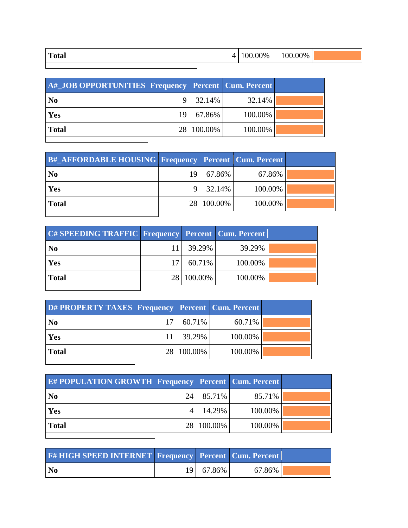| <b>Total</b><br>$  -$ | 00%<br>$\Omega$ | $.00\%$<br>100 |  |
|-----------------------|-----------------|----------------|--|
|                       |                 |                |  |

| A# JOB OPPORTUNITIES Frequency Percent Cum. Percent |    |            |         |  |
|-----------------------------------------------------|----|------------|---------|--|
| N <sub>0</sub>                                      |    | 32.14%     | 32.14%  |  |
| Yes                                                 | 19 | 67.86%     | 100.00% |  |
| <b>Total</b>                                        |    | 28 100.00% | 100.00% |  |
|                                                     |    |            |         |  |

| <b>B#_AFFORDABLE HOUSING Frequency Percent Cum. Percent</b> |    |            |         |  |
|-------------------------------------------------------------|----|------------|---------|--|
| N <sub>0</sub>                                              | 19 | 67.86%     | 67.86%  |  |
| Yes                                                         |    | 32.14%     | 100.00% |  |
| <b>Total</b>                                                |    | 28 100.00% | 100.00% |  |
|                                                             |    |            |         |  |

| <b>C# SPEEDING TRAFFIC Frequency Percent Cum. Percent</b> |    |            |         |  |
|-----------------------------------------------------------|----|------------|---------|--|
| N <sub>0</sub>                                            |    | 39.29%     | 39.29%  |  |
| Yes                                                       | 17 | 60.71%     | 100.00% |  |
| <b>Total</b>                                              |    | 28 100.00% | 100.00% |  |
|                                                           |    |            |         |  |

| D# PROPERTY TAXES   Frequency   Percent   Cum. Percent |    |            |         |  |
|--------------------------------------------------------|----|------------|---------|--|
| N <sub>0</sub>                                         | 17 | 60.71%     | 60.71%  |  |
| Yes                                                    | 11 | 39.29%     | 100.00% |  |
| <b>Total</b>                                           |    | 28 100.00% | 100.00% |  |
|                                                        |    |            |         |  |

| <b>E# POPULATION GROWTH Frequency Percent Cum. Percent</b> |                 |            |         |  |
|------------------------------------------------------------|-----------------|------------|---------|--|
| $\overline{\text{No}}$                                     | 24 <sup>1</sup> | 85.71%     | 85.71%  |  |
| <b>Yes</b>                                                 |                 | 14.29%     | 100.00% |  |
| Total                                                      |                 | 28 100.00% | 100.00% |  |
|                                                            |                 |            |         |  |

| <b>F#HIGH SPEED INTERNET Frequency Percent Cum. Percent</b> |      |        |        |  |
|-------------------------------------------------------------|------|--------|--------|--|
| N <sub>0</sub>                                              | 19 L | 67.86% | 67.86% |  |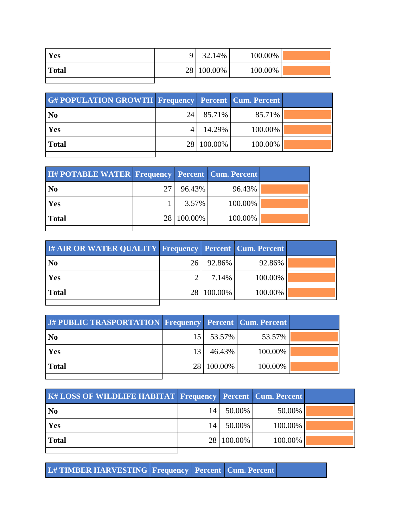| Yes          | Q | 32.14%     | 100.00% |  |
|--------------|---|------------|---------|--|
| <b>Total</b> |   | 28 100.00% | 100.00% |  |
|              |   |            |         |  |

| <b>G#POPULATION GROWTH Frequency Percent Cum. Percent</b> |    |            |         |  |
|-----------------------------------------------------------|----|------------|---------|--|
| N <sub>0</sub>                                            | 24 | 85.71%     | 85.71%  |  |
| Yes                                                       |    | 14.29%     | 100.00% |  |
| <b>Total</b>                                              |    | 28 100.00% | 100.00% |  |
|                                                           |    |            |         |  |

| <b>H#POTABLE WATER Frequency Percent Cum. Percent</b> |    |            |         |  |
|-------------------------------------------------------|----|------------|---------|--|
| N <sub>0</sub>                                        | 27 | 96.43%     | 96.43%  |  |
| Yes                                                   |    | 3.57%      | 100.00% |  |
| <b>Total</b>                                          |    | 28 100.00% | 100.00% |  |
|                                                       |    |            |         |  |

| <b>I# AIR OR WATER QUALITY Frequency Percent Cum. Percent</b> |                 |            |         |  |
|---------------------------------------------------------------|-----------------|------------|---------|--|
| N <sub>0</sub>                                                | 26 <sup>1</sup> | 92.86%     | 92.86%  |  |
| Yes                                                           | $\gamma$        | 7.14%      | 100.00% |  |
| <b>Total</b>                                                  |                 | 28 100.00% | 100.00% |  |
|                                                               |                 |            |         |  |

| J# PUBLIC TRASPORTATION Frequency Percent Cum. Percent |                 |            |         |  |
|--------------------------------------------------------|-----------------|------------|---------|--|
| $\mathbf{N_0}$                                         | 15 <sup>1</sup> | 53.57%     | 53.57%  |  |
| <b>Yes</b>                                             | 13              | 46.43%     | 100.00% |  |
| Total                                                  |                 | 28 100.00% | 100.00% |  |
|                                                        |                 |            |         |  |

| <b>K# LOSS OF WILDLIFE HABITAT Frequency Percent Cum. Percent</b> |    |            |         |  |
|-------------------------------------------------------------------|----|------------|---------|--|
| $\overline{\text{No}}$                                            | 14 | 50.00%     | 50.00%  |  |
| Yes                                                               | 14 | 50.00%     | 100.00% |  |
| <b>Total</b>                                                      |    | 28 100.00% | 100.00% |  |
|                                                                   |    |            |         |  |

**L# TIMBER HARVESTING Frequency Percent Cum. Percent**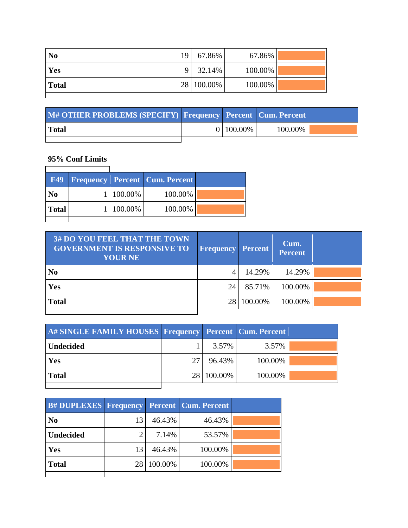| N <sub>0</sub> | 19 <sup>1</sup> | 67.86%     | 67.86%  |  |
|----------------|-----------------|------------|---------|--|
| Yes            |                 | 32.14%     | 100.00% |  |
| <b>Total</b>   |                 | 28 100.00% | 100.00% |  |
|                |                 |            |         |  |

| M# OTHER PROBLEMS (SPECIFY) Frequency Percent Cum. Percent |           |         |  |
|------------------------------------------------------------|-----------|---------|--|
| <b>Total</b>                                               | 0 100.00% | 100.00% |  |
|                                                            |           |         |  |

## **95% Conf Limits**  $\overline{\Gamma}$

| <b>F49</b>     |           | <b>Frequency Percent Cum. Percent</b> |  |
|----------------|-----------|---------------------------------------|--|
| N <sub>0</sub> | 1 100.00% | 100.00%                               |  |
| <b>Total</b>   | 100.00%   | 100.00%                               |  |
|                |           |                                       |  |

| <b>3# DO YOU FEEL THAT THE TOWN</b><br><b>GOVERNMENT IS RESPONSIVE TO</b><br><b>YOUR NE</b> | <b>Frequency Percent</b> |            | Cum.<br><b>Percent</b> |  |
|---------------------------------------------------------------------------------------------|--------------------------|------------|------------------------|--|
| N <sub>0</sub>                                                                              |                          | 14.29%     | 14.29%                 |  |
| Yes                                                                                         | 24                       | 85.71%     | 100.00%                |  |
| <b>Total</b>                                                                                |                          | 28 100.00% | 100.00%                |  |

| A# SINGLE FAMILY HOUSES Frequency Percent Cum. Percent |    |            |         |  |
|--------------------------------------------------------|----|------------|---------|--|
| <b>Undecided</b>                                       |    | 3.57%      | 3.57%   |  |
| Yes                                                    | 27 | 96.43%     | 100.00% |  |
| <b>Total</b>                                           |    | 28 100.00% | 100.00% |  |
|                                                        |    |            |         |  |

| <b>B# DUPLEXES Frequency Percent Cum. Percent</b> |                |         |         |  |
|---------------------------------------------------|----------------|---------|---------|--|
| N <sub>0</sub>                                    | 13             | 46.43%  | 46.43%  |  |
| <b>Undecided</b>                                  | $\overline{2}$ | 7.14%   | 53.57%  |  |
| Yes                                               | 13             | 46.43%  | 100.00% |  |
| <b>Total</b>                                      | 28             | 100.00% | 100.00% |  |
|                                                   |                |         |         |  |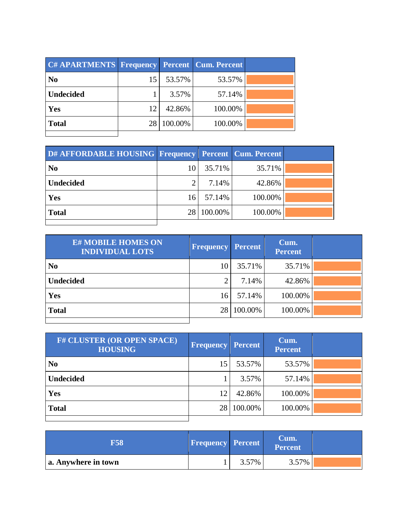| <b>C# APARTMENTS Frequency Percent Cum. Percent</b> |    |            |         |  |
|-----------------------------------------------------|----|------------|---------|--|
| N <sub>0</sub>                                      | 15 | 53.57%     | 53.57%  |  |
| <b>Undecided</b>                                    |    | 3.57%      | 57.14%  |  |
| Yes                                                 | 12 | 42.86%     | 100.00% |  |
| <b>Total</b>                                        |    | 28 100.00% | 100.00% |  |
|                                                     |    |            |         |  |

| D# AFFORDABLE HOUSING   Frequency   Percent   Cum. Percent |                |            |         |  |
|------------------------------------------------------------|----------------|------------|---------|--|
| N <sub>0</sub>                                             | 10             | 35.71%     | 35.71%  |  |
| <b>Undecided</b>                                           | $\overline{2}$ | 7.14%      | 42.86%  |  |
| Yes                                                        | 16             | 57.14%     | 100.00% |  |
| <b>Total</b>                                               |                | 28 100.00% | 100.00% |  |
|                                                            |                |            |         |  |

| <b>E# MOBILE HOMES ON</b><br><b>INDIVIDUAL LOTS</b> | <b>Frequency</b> | Percent | Cum.<br><b>Percent</b> |  |
|-----------------------------------------------------|------------------|---------|------------------------|--|
| N <sub>0</sub>                                      | 10               | 35.71%  | 35.71%                 |  |
| <b>Undecided</b>                                    | $\overline{2}$   | 7.14%   | 42.86%                 |  |
| Yes                                                 | 16               | 57.14%  | 100.00%                |  |
| <b>Total</b>                                        | 28               | 100.00% | 100.00%                |  |
|                                                     |                  |         |                        |  |

| <b>F# CLUSTER (OR OPEN SPACE)</b><br><b>HOUSING</b> | Frequency | <b>Percent</b> | Cum.<br><b>Percent</b> |  |
|-----------------------------------------------------|-----------|----------------|------------------------|--|
| N <sub>0</sub>                                      | 15        | 53.57%         | 53.57%                 |  |
| <b>Undecided</b>                                    |           | 3.57%          | 57.14%                 |  |
| <b>Yes</b>                                          | 12        | 42.86%         | 100.00%                |  |
| <b>Total</b>                                        | 28        | 100.00%        | 100.00%                |  |
|                                                     |           |                |                        |  |

| F58                 | <b>Frequency Percent</b> |       | Cum.<br><b>Percent</b> |  |
|---------------------|--------------------------|-------|------------------------|--|
| a. Anywhere in town |                          | 3.57% | 3.57%                  |  |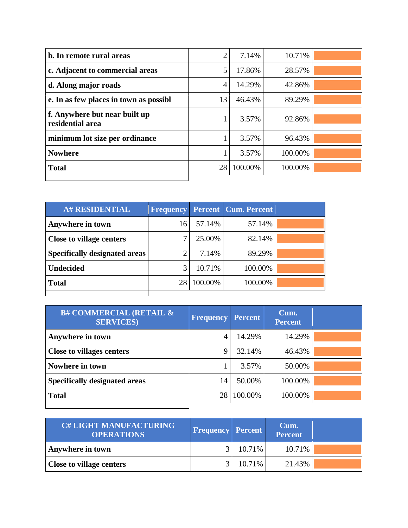| b. In remote rural areas                          | 2              | 7.14%   | 10.71%  |  |
|---------------------------------------------------|----------------|---------|---------|--|
| c. Adjacent to commercial areas                   | 5              | 17.86%  | 28.57%  |  |
| d. Along major roads                              | $\overline{4}$ | 14.29%  | 42.86%  |  |
| e. In as few places in town as possibl            | 13             | 46.43%  | 89.29%  |  |
| f. Anywhere but near built up<br>residential area | 1              | 3.57%   | 92.86%  |  |
| minimum lot size per ordinance                    |                | 3.57%   | 96.43%  |  |
| <b>Nowhere</b>                                    | 1              | 3.57%   | 100.00% |  |
| <b>Total</b>                                      | 28             | 100.00% | 100.00% |  |
|                                                   |                |         |         |  |

| <b>A# RESIDENTIAL</b>                | <b>Frequency</b> |         | <b>Percent   Cum. Percent</b> |  |
|--------------------------------------|------------------|---------|-------------------------------|--|
| Anywhere in town                     | 16               | 57.14%  | 57.14%                        |  |
| <b>Close to village centers</b>      |                  | 25.00%  | 82.14%                        |  |
| <b>Specifically designated areas</b> | $\overline{2}$   | 7.14%   | 89.29%                        |  |
| <b>Undecided</b>                     | 3                | 10.71%  | 100.00%                       |  |
| <b>Total</b>                         | 28               | 100.00% | 100.00%                       |  |
|                                      |                  |         |                               |  |

| <b>B# COMMERCIAL (RETAIL &amp;</b><br><b>SERVICES</b> ) | <b>Frequency</b> | <b>Percent</b> | Cum.<br><b>Percent</b> |  |
|---------------------------------------------------------|------------------|----------------|------------------------|--|
| Anywhere in town                                        | 4                | 14.29%         | 14.29%                 |  |
| <b>Close to villages centers</b>                        | 9                | 32.14%         | 46.43%                 |  |
| Nowhere in town                                         |                  | 3.57%          | 50.00%                 |  |
| <b>Specifically designated areas</b>                    | 14               | 50.00%         | 100.00%                |  |
| <b>Total</b>                                            | 28               | 100.00%        | 100.00%                |  |
|                                                         |                  |                |                        |  |

| <b>C# LIGHT MANUFACTURING</b><br><b>OPERATIONS</b> | <b>Frequency Percent</b> |        | Cum.<br>Percent |  |
|----------------------------------------------------|--------------------------|--------|-----------------|--|
| Anywhere in town                                   |                          | 10.71% | $10.71\%$       |  |
| <b>Close to village centers</b>                    |                          | 10.71% | 21.43%          |  |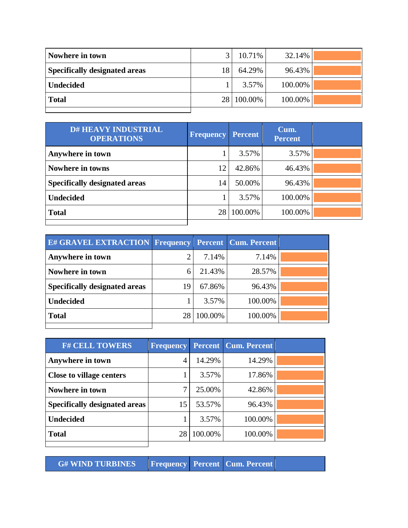| Nowhere in town                      |                 | 10.71%  | 32.14%  |  |
|--------------------------------------|-----------------|---------|---------|--|
| <b>Specifically designated areas</b> | 18              | 64.29%  | 96.43%  |  |
| <b>Undecided</b>                     |                 | 3.57%   | 100.00% |  |
| <b>Total</b>                         | 28 <sub>1</sub> | 100.00% | 100.00% |  |
|                                      |                 |         |         |  |

| <b>D# HEAVY INDUSTRIAL</b><br><b>OPERATIONS</b> | <b>Frequency</b> | <b>Percent</b> | Cum.<br><b>Percent</b> |  |
|-------------------------------------------------|------------------|----------------|------------------------|--|
| Anywhere in town                                |                  | 3.57%          | 3.57%                  |  |
| <b>Nowhere in towns</b>                         | 12               | 42.86%         | 46.43%                 |  |
| <b>Specifically designated areas</b>            | 14               | 50.00%         | 96.43%                 |  |
| <b>Undecided</b>                                |                  | 3.57%          | 100.00%                |  |
| <b>Total</b>                                    | 28               | 100.00%        | 100.00%                |  |

|    | 7.14%   | 7.14%                                 |                                 |
|----|---------|---------------------------------------|---------------------------------|
| 6  | 21.43%  | 28.57%                                |                                 |
| 19 | 67.86%  | 96.43%                                |                                 |
|    | 3.57%   | 100.00%                               |                                 |
|    | 100.00% | 100.00%                               |                                 |
|    |         | <b>E# GRAVEL EXTRACTION Frequency</b> | <b>Percent   Cum. Percent  </b> |

| <b>F# CELL TOWERS</b>                | <b>Frequency</b> |         | Percent   Cum. Percent |  |
|--------------------------------------|------------------|---------|------------------------|--|
| Anywhere in town                     |                  | 14.29%  | 14.29%                 |  |
| <b>Close to village centers</b>      |                  | 3.57%   | 17.86%                 |  |
| Nowhere in town                      |                  | 25.00%  | 42.86%                 |  |
| <b>Specifically designated areas</b> | 15               | 53.57%  | 96.43%                 |  |
| <b>Undecided</b>                     |                  | 3.57%   | 100.00%                |  |
| <b>Total</b>                         | 28               | 100.00% | 100.00%                |  |

**G# WIND TURBINES Frequency Percent Cum. Percent**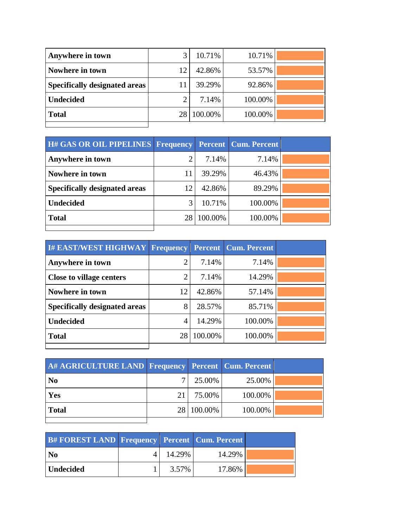| Anywhere in town                     |    | 10.71%  | 10.71%  |  |
|--------------------------------------|----|---------|---------|--|
| Nowhere in town                      | 12 | 42.86%  | 53.57%  |  |
| <b>Specifically designated areas</b> | 11 | 39.29%  | 92.86%  |  |
| <b>Undecided</b>                     |    | 7.14%   | 100.00% |  |
| <b>Total</b>                         | 28 | 100.00% | 100.00% |  |
|                                      |    |         |         |  |

| <b>H# GAS OR OIL PIPELINES Frequency Percent Cum. Percent</b> |    |         |         |  |
|---------------------------------------------------------------|----|---------|---------|--|
| Anywhere in town                                              |    | 7.14%   | 7.14%   |  |
| Nowhere in town                                               |    | 39.29%  | 46.43%  |  |
| <b>Specifically designated areas</b>                          | 12 | 42.86%  | 89.29%  |  |
| <b>Undecided</b>                                              | 3  | 10.71%  | 100.00% |  |
| <b>Total</b>                                                  | 28 | 100.00% | 100.00% |  |
|                                                               |    |         |         |  |

| <b>I# EAST/WEST HIGHWAY Frequency</b> |    |         | <b>Percent   Cum. Percent</b> |  |
|---------------------------------------|----|---------|-------------------------------|--|
| Anywhere in town                      | ി  | 7.14%   | 7.14%                         |  |
| <b>Close to village centers</b>       | റ  | 7.14%   | 14.29%                        |  |
| Nowhere in town                       | 12 | 42.86%  | 57.14%                        |  |
| <b>Specifically designated areas</b>  | 8  | 28.57%  | 85.71%                        |  |
| <b>Undecided</b>                      | 4  | 14.29%  | 100.00%                       |  |
| <b>Total</b>                          | 28 | 100.00% | 100.00%                       |  |
|                                       |    |         |                               |  |

| A# AGRICULTURE LAND Frequency Percent Cum. Percent |    |            |         |  |
|----------------------------------------------------|----|------------|---------|--|
| <b>No</b>                                          |    | 25.00%     | 25.00%  |  |
| Yes                                                | 21 | 75.00%     | 100.00% |  |
| <b>Total</b>                                       |    | 28 100.00% | 100.00% |  |
|                                                    |    |            |         |  |

| <b>B#FOREST LAND Frequency Percent Cum. Percent</b> |        |        |  |
|-----------------------------------------------------|--------|--------|--|
| N <sub>0</sub>                                      | 14.29% | 14.29% |  |
| Undecided                                           | 3.57%  | 17.86% |  |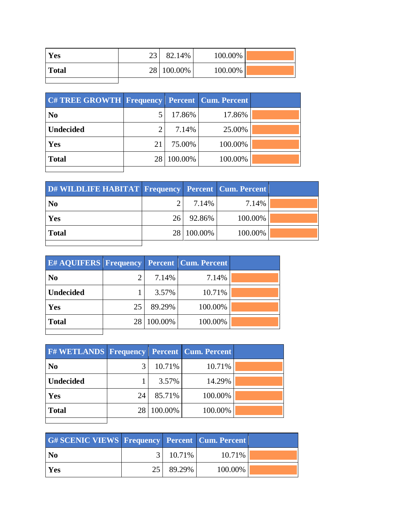| Yes          | 23 | 82.14%     | 100.00% |  |
|--------------|----|------------|---------|--|
| <b>Total</b> |    | 28 100.00% | 100.00% |  |
|              |    |            |         |  |

| <b>C# TREE GROWTH Frequency Percent Cum. Percent</b> |                |            |         |  |
|------------------------------------------------------|----------------|------------|---------|--|
| N <sub>0</sub>                                       |                | 17.86%     | 17.86%  |  |
| <b>Undecided</b>                                     | $\overline{2}$ | 7.14%      | 25.00%  |  |
| Yes                                                  | 21             | 75.00%     | 100.00% |  |
| <b>Total</b>                                         |                | 28 100.00% | 100.00% |  |
|                                                      |                |            |         |  |

| D# WILDLIFE HABITAT Frequency Percent Cum. Percent |    |            |         |  |
|----------------------------------------------------|----|------------|---------|--|
| N <sub>0</sub>                                     |    | 7.14%      | 7.14%   |  |
| Yes                                                | 26 | 92.86%     | 100.00% |  |
| <b>Total</b>                                       |    | 28 100.00% | 100.00% |  |
|                                                    |    |            |         |  |

| <b>E# AQUIFERS Frequency Percent Cum. Percent</b> |    |         |         |  |
|---------------------------------------------------|----|---------|---------|--|
| N <sub>o</sub>                                    |    | 7.14%   | 7.14%   |  |
| <b>Undecided</b>                                  |    | 3.57%   | 10.71%  |  |
| Yes                                               | 25 | 89.29%  | 100.00% |  |
| <b>Total</b>                                      | 28 | 100.00% | 100.00% |  |
|                                                   |    |         |         |  |

| <b>F#WETLANDS Frequency Percent Cum. Percent</b> |    |            |         |  |
|--------------------------------------------------|----|------------|---------|--|
| N <sub>0</sub>                                   |    | 10.71%     | 10.71%  |  |
| <b>Undecided</b>                                 |    | 3.57%      | 14.29%  |  |
| Yes                                              | 24 | 85.71%     | 100.00% |  |
| <b>Total</b>                                     |    | 28 100.00% | 100.00% |  |
|                                                  |    |            |         |  |

| <b>G# SCENIC VIEWS Frequency Percent Cum. Percent</b> |     |        |         |  |
|-------------------------------------------------------|-----|--------|---------|--|
| $\overline{\text{No}}$                                |     | 10.71% | 10.71%  |  |
| Yes                                                   | 25. | 89.29% | 100.00% |  |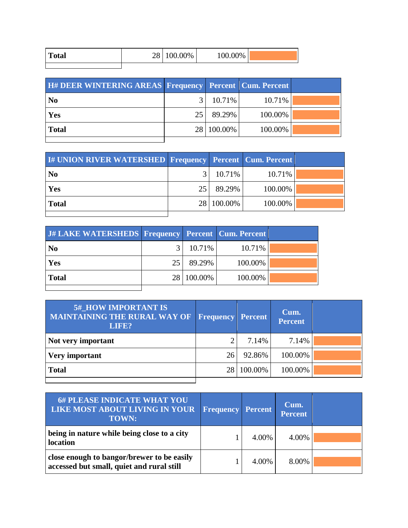| <b>Total</b> | 28 100.00% | 100.00% |  |
|--------------|------------|---------|--|
|              |            |         |  |

| <b>H# DEER WINTERING AREAS Frequency Percent Cum. Percent</b> |    |            |         |  |
|---------------------------------------------------------------|----|------------|---------|--|
| N <sub>0</sub>                                                |    | 10.71%     | 10.71%  |  |
| Yes                                                           | 25 | 89.29%     | 100.00% |  |
| <b>Total</b>                                                  |    | 28 100.00% | 100.00% |  |
|                                                               |    |            |         |  |

| <b>I# UNION RIVER WATERSHED Frequency Percent Cum. Percent</b> |      |            |         |  |
|----------------------------------------------------------------|------|------------|---------|--|
| N <sub>0</sub>                                                 |      | 10.71%     | 10.71%  |  |
| Yes                                                            | 25 l | 89.29%     | 100.00% |  |
| <b>Total</b>                                                   |      | 28 100.00% | 100.00% |  |
|                                                                |      |            |         |  |

| J# LAKE WATERSHEDS Frequency Percent Cum. Percent |    |            |         |  |
|---------------------------------------------------|----|------------|---------|--|
| N <sub>0</sub>                                    |    | 10.71%     | 10.71%  |  |
| Yes                                               | 25 | 89.29%     | 100.00% |  |
| <b>Total</b>                                      |    | 28 100.00% | 100.00% |  |
|                                                   |    |            |         |  |

| <b>5#_HOW IMPORTANT IS</b><br>MAINTAINING THE RURAL WAY OF<br>LIFE? | <b>Frequency Percent</b> |            | Cum.<br><b>Percent</b> |  |
|---------------------------------------------------------------------|--------------------------|------------|------------------------|--|
| Not very important                                                  |                          | 7.14%      | 7.14%                  |  |
| Very important                                                      | 26                       | 92.86%     | 100.00%                |  |
| <b>Total</b>                                                        |                          | 28 100.00% | 100.00%                |  |
|                                                                     |                          |            |                        |  |

| <b>6# PLEASE INDICATE WHAT YOU</b><br>LIKE MOST ABOUT LIVING IN YOUR<br><b>TOWN:</b>    | <b>Frequency Percent</b> |       | Cum.<br><b>Percent</b> |  |
|-----------------------------------------------------------------------------------------|--------------------------|-------|------------------------|--|
| being in nature while being close to a city<br>location                                 |                          | 4.00% | 4.00%                  |  |
| close enough to bangor/brewer to be easily<br>accessed but small, quiet and rural still |                          | 4.00% | 8.00%                  |  |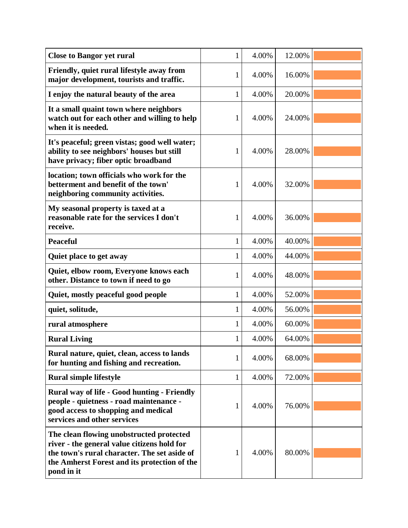| <b>Close to Bangor yet rural</b>                                                                                                                                                                      | 1            | 4.00% | 12.00% |  |
|-------------------------------------------------------------------------------------------------------------------------------------------------------------------------------------------------------|--------------|-------|--------|--|
| Friendly, quiet rural lifestyle away from<br>major development, tourists and traffic.                                                                                                                 | 1            | 4.00% | 16.00% |  |
| I enjoy the natural beauty of the area                                                                                                                                                                | $\mathbf{1}$ | 4.00% | 20.00% |  |
| It a small quaint town where neighbors<br>watch out for each other and willing to help<br>when it is needed.                                                                                          | $\mathbf{1}$ | 4.00% | 24.00% |  |
| It's peaceful; green vistas; good well water;<br>ability to see neighbors' houses but still<br>have privacy; fiber optic broadband                                                                    | 1            | 4.00% | 28.00% |  |
| location; town officials who work for the<br>betterment and benefit of the town'<br>neighboring community activities.                                                                                 | 1            | 4.00% | 32.00% |  |
| My seasonal property is taxed at a<br>reasonable rate for the services I don't<br>receive.                                                                                                            | 1            | 4.00% | 36.00% |  |
| <b>Peaceful</b>                                                                                                                                                                                       | 1            | 4.00% | 40.00% |  |
| Quiet place to get away                                                                                                                                                                               | $\mathbf{1}$ | 4.00% | 44.00% |  |
| Quiet, elbow room, Everyone knows each<br>other. Distance to town if need to go                                                                                                                       | $\mathbf{1}$ | 4.00% | 48.00% |  |
| Quiet, mostly peaceful good people                                                                                                                                                                    | $\mathbf{1}$ | 4.00% | 52.00% |  |
| quiet, solitude,                                                                                                                                                                                      | 1            | 4.00% | 56.00% |  |
| rural atmosphere                                                                                                                                                                                      | 1            | 4.00% | 60.00% |  |
| <b>Rural Living</b>                                                                                                                                                                                   | 1            | 4.00% | 64.00% |  |
| Rural nature, quiet, clean, access to lands<br>for hunting and fishing and recreation.                                                                                                                | 1            | 4.00% | 68.00% |  |
| <b>Rural simple lifestyle</b>                                                                                                                                                                         | 1            | 4.00% | 72.00% |  |
| <b>Rural way of life - Good hunting - Friendly</b><br>people - quietness - road maintenance -<br>good access to shopping and medical<br>services and other services                                   | $\mathbf{1}$ | 4.00% | 76.00% |  |
| The clean flowing unobstructed protected<br>river - the general value citizens hold for<br>the town's rural character. The set aside of<br>the Amherst Forest and its protection of the<br>pond in it | 1            | 4.00% | 80.00% |  |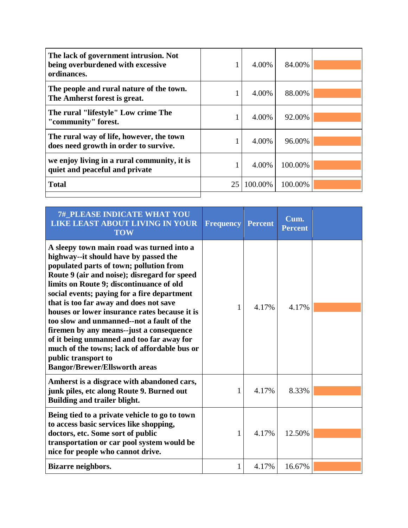| The lack of government intrusion. Not<br>being overburdened with excessive<br>ordinances. |    | 4.00%   | 84.00%  |  |
|-------------------------------------------------------------------------------------------|----|---------|---------|--|
| The people and rural nature of the town.<br>The Amherst forest is great.                  |    | 4.00%   | 88.00%  |  |
| The rural "lifestyle" Low crime The<br>"community" forest.                                |    | 4.00%   | 92.00%  |  |
| The rural way of life, however, the town<br>does need growth in order to survive.         |    | 4.00%   | 96.00%  |  |
| we enjoy living in a rural community, it is<br>quiet and peaceful and private             |    | 4.00%   | 100.00% |  |
| <b>Total</b>                                                                              | 25 | 100.00% | 100.00% |  |
|                                                                                           |    |         |         |  |

| 7#_PLEASE INDICATE WHAT YOU<br><b>LIKE LEAST ABOUT LIVING IN YOUR</b><br><b>TOW</b>                                                                                                                                                                                                                                                                                                                                                                                                                                                                                                                                      | <b>Frequency</b> | <b>Percent</b> | Cum.<br><b>Percent</b> |  |
|--------------------------------------------------------------------------------------------------------------------------------------------------------------------------------------------------------------------------------------------------------------------------------------------------------------------------------------------------------------------------------------------------------------------------------------------------------------------------------------------------------------------------------------------------------------------------------------------------------------------------|------------------|----------------|------------------------|--|
| A sleepy town main road was turned into a<br>highway--it should have by passed the<br>populated parts of town; pollution from<br>Route 9 (air and noise); disregard for speed<br>limits on Route 9; discontinuance of old<br>social events; paying for a fire department<br>that is too far away and does not save<br>houses or lower insurance rates because it is<br>too slow and unmanned--not a fault of the<br>firemen by any means--just a consequence<br>of it being unmanned and too far away for<br>much of the towns; lack of affordable bus or<br>public transport to<br><b>Bangor/Brewer/Ellsworth areas</b> | 1                | 4.17%          | 4.17%                  |  |
| Amherst is a disgrace with abandoned cars,<br>junk piles, etc along Route 9. Burned out<br><b>Building and trailer blight.</b>                                                                                                                                                                                                                                                                                                                                                                                                                                                                                           | 1                | 4.17%          | 8.33%                  |  |
| Being tied to a private vehicle to go to town<br>to access basic services like shopping,<br>doctors, etc. Some sort of public<br>transportation or car pool system would be<br>nice for people who cannot drive.                                                                                                                                                                                                                                                                                                                                                                                                         | 1                | 4.17%          | 12.50%                 |  |
| <b>Bizarre neighbors.</b>                                                                                                                                                                                                                                                                                                                                                                                                                                                                                                                                                                                                | 1                | 4.17%          | 16.67%                 |  |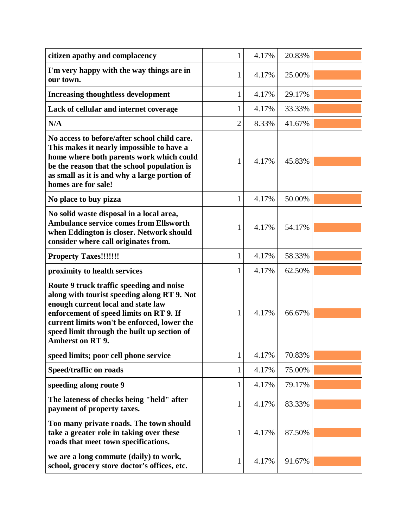| citizen apathy and complacency                                                                                                                                                                                                                                                                    | 1              | 4.17% | 20.83% |  |
|---------------------------------------------------------------------------------------------------------------------------------------------------------------------------------------------------------------------------------------------------------------------------------------------------|----------------|-------|--------|--|
| I'm very happy with the way things are in<br>our town.                                                                                                                                                                                                                                            | $\mathbf{1}$   | 4.17% | 25.00% |  |
| <b>Increasing thoughtless development</b>                                                                                                                                                                                                                                                         | 1              | 4.17% | 29.17% |  |
| Lack of cellular and internet coverage                                                                                                                                                                                                                                                            | 1              | 4.17% | 33.33% |  |
| N/A                                                                                                                                                                                                                                                                                               | $\overline{2}$ | 8.33% | 41.67% |  |
| No access to before/after school child care.<br>This makes it nearly impossible to have a<br>home where both parents work which could<br>be the reason that the school population is<br>as small as it is and why a large portion of<br>homes are for sale!                                       | 1              | 4.17% | 45.83% |  |
| No place to buy pizza                                                                                                                                                                                                                                                                             | $\mathbf{1}$   | 4.17% | 50.00% |  |
| No solid waste disposal in a local area,<br><b>Ambulance service comes from Ellsworth</b><br>when Eddington is closer. Network should<br>consider where call originates from.                                                                                                                     | $\mathbf{1}$   | 4.17% | 54.17% |  |
| <b>Property Taxes!!!!!!!</b>                                                                                                                                                                                                                                                                      | $\mathbf{1}$   | 4.17% | 58.33% |  |
| proximity to health services                                                                                                                                                                                                                                                                      | $\mathbf{1}$   | 4.17% | 62.50% |  |
| Route 9 truck traffic speeding and noise<br>along with tourist speeding along RT 9. Not<br>enough current local and state law<br>enforcement of speed limits on RT 9. If<br>current limits won't be enforced, lower the<br>speed limit through the built up section of<br><b>Amherst on RT 9.</b> | $\mathbf{1}$   | 4.17% | 66.67% |  |
| speed limits; poor cell phone service                                                                                                                                                                                                                                                             | $\mathbf{1}$   | 4.17% | 70.83% |  |
| Speed/traffic on roads                                                                                                                                                                                                                                                                            | 1              | 4.17% | 75.00% |  |
| speeding along route 9                                                                                                                                                                                                                                                                            | 1              | 4.17% | 79.17% |  |
| The lateness of checks being "held" after<br>payment of property taxes.                                                                                                                                                                                                                           | 1              | 4.17% | 83.33% |  |
| Too many private roads. The town should<br>take a greater role in taking over these<br>roads that meet town specifications.                                                                                                                                                                       | $\mathbf{1}$   | 4.17% | 87.50% |  |
| we are a long commute (daily) to work,<br>school, grocery store doctor's offices, etc.                                                                                                                                                                                                            | $\mathbf{1}$   | 4.17% | 91.67% |  |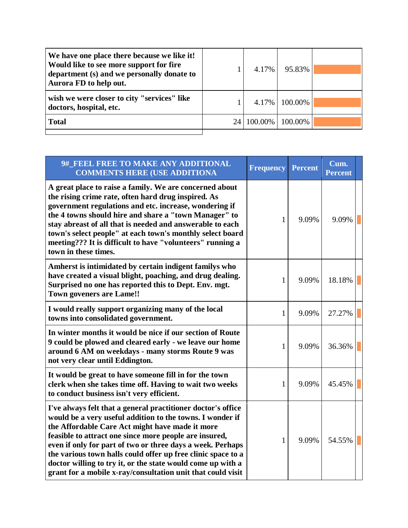| We have one place there because we like it!<br>Would like to see more support for fire<br>department (s) and we personally donate to<br>Aurora FD to help out. | 4.17% | 95.83%                 |  |
|----------------------------------------------------------------------------------------------------------------------------------------------------------------|-------|------------------------|--|
| wish we were closer to city "services" like<br>doctors, hospital, etc.                                                                                         | 4.17% | 100.00%                |  |
| <b>Total</b>                                                                                                                                                   |       | 24   100.00%   100.00% |  |
|                                                                                                                                                                |       |                        |  |

| 9# FEEL FREE TO MAKE ANY ADDITIONAL<br><b>COMMENTS HERE (USE ADDITIONA</b>                                                                                                                                                                                                                                                                                                                                                                                                                         | <b>Frequency</b> | Percent | Cum.<br><b>Percent</b> |  |
|----------------------------------------------------------------------------------------------------------------------------------------------------------------------------------------------------------------------------------------------------------------------------------------------------------------------------------------------------------------------------------------------------------------------------------------------------------------------------------------------------|------------------|---------|------------------------|--|
| A great place to raise a family. We are concerned about<br>the rising crime rate, often hard drug inspired. As<br>government regulations and etc. increase, wondering if<br>the 4 towns should hire and share a "town Manager" to<br>stay abreast of all that is needed and answerable to each<br>town's select people" at each town's monthly select board<br>meeting??? It is difficult to have "volunteers" running a<br>town in these times.                                                   | 1                | 9.09%   | 9.09%                  |  |
| Amherst is intimidated by certain indigent familys who<br>have created a visual blight, poaching, and drug dealing.<br>Surprised no one has reported this to Dept. Env. mgt.<br><b>Town goveners are Lame!!</b>                                                                                                                                                                                                                                                                                    | 1                | 9.09%   | 18.18%                 |  |
| I would really support organizing many of the local<br>towns into consolidated government.                                                                                                                                                                                                                                                                                                                                                                                                         | 1                | 9.09%   | 27.27%                 |  |
| In winter months it would be nice if our section of Route<br>9 could be plowed and cleared early - we leave our home<br>around 6 AM on weekdays - many storms Route 9 was<br>not very clear until Eddington.                                                                                                                                                                                                                                                                                       | 1                | 9.09%   | 36.36%                 |  |
| It would be great to have someone fill in for the town<br>clerk when she takes time off. Having to wait two weeks<br>to conduct business isn't very efficient.                                                                                                                                                                                                                                                                                                                                     | 1                | 9.09%   | 45.45%                 |  |
| I've always felt that a general practitioner doctor's office<br>would be a very useful addition to the towns. I wonder if<br>the Affordable Care Act might have made it more<br>feasible to attract one since more people are insured,<br>even if only for part of two or three days a week. Perhaps<br>the various town halls could offer up free clinic space to a<br>doctor willing to try it, or the state would come up with a<br>grant for a mobile x-ray/consultation unit that could visit | 1                | 9.09%   | 54.55%                 |  |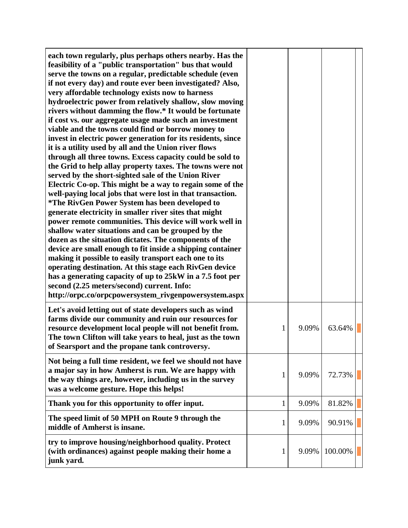| each town regularly, plus perhaps others nearby. Has the<br>feasibility of a "public transportation" bus that would<br>serve the towns on a regular, predictable schedule (even<br>if not every day) and route ever been investigated? Also,<br>very affordable technology exists now to harness<br>hydroelectric power from relatively shallow, slow moving<br>rivers without damming the flow.* It would be fortunate<br>if cost vs. our aggregate usage made such an investment<br>viable and the towns could find or borrow money to<br>invest in electric power generation for its residents, since<br>it is a utility used by all and the Union river flows<br>through all three towns. Excess capacity could be sold to<br>the Grid to help allay property taxes. The towns were not<br>served by the short-sighted sale of the Union River<br>Electric Co-op. This might be a way to regain some of the<br>well-paying local jobs that were lost in that transaction.<br>*The RivGen Power System has been developed to<br>generate electricity in smaller river sites that might<br>power remote communities. This device will work well in<br>shallow water situations and can be grouped by the<br>dozen as the situation dictates. The components of the<br>device are small enough to fit inside a shipping container<br>making it possible to easily transport each one to its<br>operating destination. At this stage each RivGen device<br>has a generating capacity of up to 25kW in a 7.5 foot per<br>second (2.25 meters/second) current. Info:<br>http://orpc.co/orpcpowersystem_rivgenpowersystem.aspx |              |       |         |  |
|-----------------------------------------------------------------------------------------------------------------------------------------------------------------------------------------------------------------------------------------------------------------------------------------------------------------------------------------------------------------------------------------------------------------------------------------------------------------------------------------------------------------------------------------------------------------------------------------------------------------------------------------------------------------------------------------------------------------------------------------------------------------------------------------------------------------------------------------------------------------------------------------------------------------------------------------------------------------------------------------------------------------------------------------------------------------------------------------------------------------------------------------------------------------------------------------------------------------------------------------------------------------------------------------------------------------------------------------------------------------------------------------------------------------------------------------------------------------------------------------------------------------------------------------------------------------------------------------------------------------------------|--------------|-------|---------|--|
| Let's avoid letting out of state developers such as wind<br>farms divide our community and ruin our resources for<br>resource development local people will not benefit from.<br>The town Clifton will take years to heal, just as the town<br>of Searsport and the propane tank controversy.                                                                                                                                                                                                                                                                                                                                                                                                                                                                                                                                                                                                                                                                                                                                                                                                                                                                                                                                                                                                                                                                                                                                                                                                                                                                                                                               | $\mathbf{1}$ | 9.09% | 63.64%  |  |
| Not being a full time resident, we feel we should not have<br>a major say in how Amherst is run. We are happy with<br>the way things are, however, including us in the survey<br>was a welcome gesture. Hope this helps!                                                                                                                                                                                                                                                                                                                                                                                                                                                                                                                                                                                                                                                                                                                                                                                                                                                                                                                                                                                                                                                                                                                                                                                                                                                                                                                                                                                                    | $\mathbf{1}$ | 9.09% | 72.73%  |  |
| Thank you for this opportunity to offer input.                                                                                                                                                                                                                                                                                                                                                                                                                                                                                                                                                                                                                                                                                                                                                                                                                                                                                                                                                                                                                                                                                                                                                                                                                                                                                                                                                                                                                                                                                                                                                                              | $\mathbf{1}$ | 9.09% | 81.82%  |  |
| The speed limit of 50 MPH on Route 9 through the<br>middle of Amherst is insane.                                                                                                                                                                                                                                                                                                                                                                                                                                                                                                                                                                                                                                                                                                                                                                                                                                                                                                                                                                                                                                                                                                                                                                                                                                                                                                                                                                                                                                                                                                                                            | $\mathbf{1}$ | 9.09% | 90.91%  |  |
| try to improve housing/neighborhood quality. Protect<br>(with ordinances) against people making their home a<br>junk yard.                                                                                                                                                                                                                                                                                                                                                                                                                                                                                                                                                                                                                                                                                                                                                                                                                                                                                                                                                                                                                                                                                                                                                                                                                                                                                                                                                                                                                                                                                                  | $\mathbf{1}$ | 9.09% | 100.00% |  |